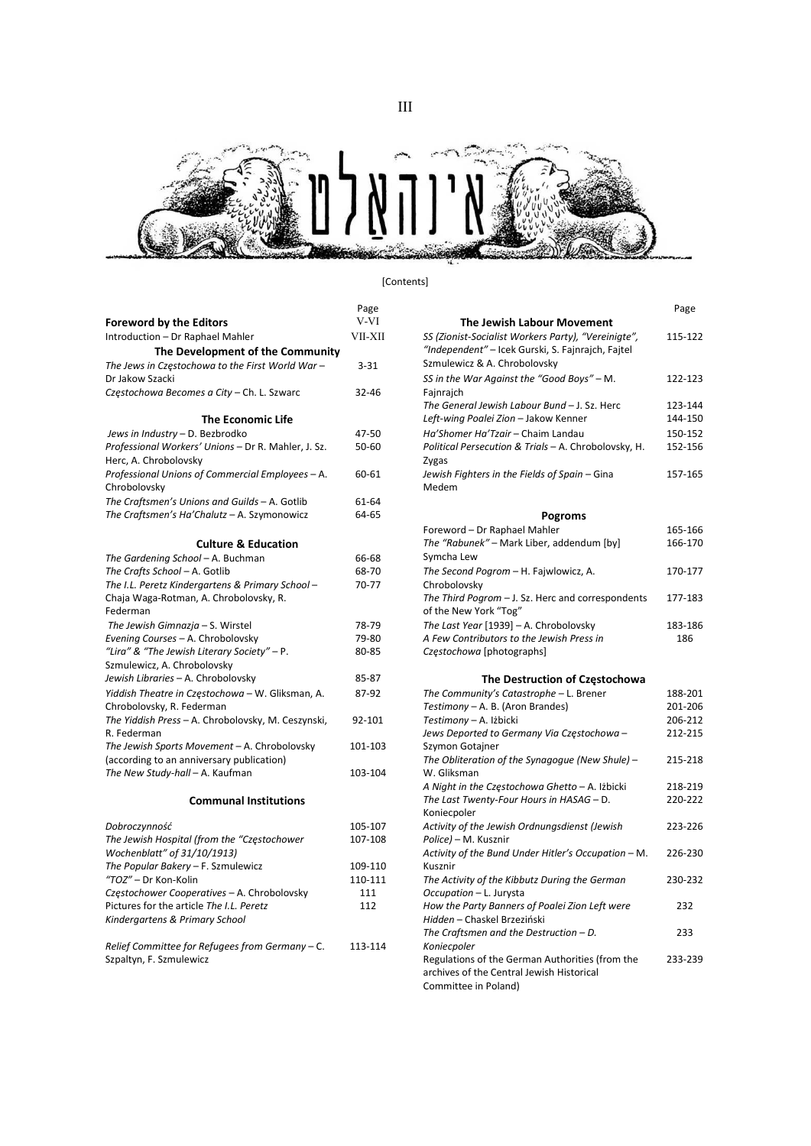



## [Contents]

|                                                     | Page      |                                                      | Page   |
|-----------------------------------------------------|-----------|------------------------------------------------------|--------|
| <b>Foreword by the Editors</b>                      | V-VI      | <b>The Jewish Labour Movement</b>                    |        |
| Introduction - Dr Raphael Mahler                    | VII-XII   | SS (Zionist-Socialist Workers Party), "Vereinigte",  | 115-12 |
| The Development of the Community                    |           | "Independent" - Icek Gurski, S. Fajnrajch, Fajtel    |        |
| The Jews in Częstochowa to the First World War-     | $3 - 31$  | Szmulewicz & A. Chrobolovsky                         |        |
| Dr Jakow Szacki                                     |           | SS in the War Against the "Good Boys" - M.           | 122-12 |
| Częstochowa Becomes a City - Ch. L. Szwarc          | 32-46     | Fajnrajch                                            |        |
|                                                     |           | The General Jewish Labour Bund - J. Sz. Herc         | 123-14 |
| The Economic Life                                   |           | Left-wing Poalei Zion - Jakow Kenner                 | 144-15 |
| Jews in Industry - D. Bezbrodko                     | 47-50     | Ha'Shomer Ha'Tzair - Chaim Landau                    | 150-15 |
| Professional Workers' Unions - Dr R. Mahler, J. Sz. | $50 - 60$ | Political Persecution & Trials - A. Chrobolovsky, H. | 152-15 |
| Herc, A. Chrobolovsky                               |           | Zygas                                                |        |
| Professional Unions of Commercial Employees - A.    | 60-61     | Jewish Fighters in the Fields of Spain - Gina        | 157-16 |
| Chrobolovsky                                        |           | Medem                                                |        |
| The Craftsmen's Unions and Guilds - A. Gotlib       | 61-64     |                                                      |        |
| The Craftsmen's Ha'Chalutz - A. Szymonowicz         | 64-65     | Pogroms                                              |        |
|                                                     |           | Foreword - Dr Raphael Mahler                         | 165-16 |
| <b>Culture &amp; Education</b>                      |           | The "Rabunek" - Mark Liber, addendum [by]            | 166-17 |
| The Gardening School - A. Buchman                   | 66-68     | Symcha Lew                                           |        |
| The Crafts School - A. Gotlib                       | 68-70     | The Second Pogrom - H. Fajwlowicz, A.                | 170-17 |
| The I.L. Peretz Kindergartens & Primary School -    | 70-77     | Chrobolovsky                                         |        |
| Chaja Waga-Rotman, A. Chrobolovsky, R.              |           | The Third Pogrom - J. Sz. Herc and correspondents    | 177-18 |
| Federman                                            |           | of the New York "Tog"                                |        |
| The Jewish Gimnazja - S. Wirstel                    | 78-79     | The Last Year [1939] - A. Chrobolovsky               | 183-18 |
| Evening Courses - A. Chrobolovsky                   | 79-80     | A Few Contributors to the Jewish Press in            | 186    |
| "Lira" & "The Jewish Literary Society" - P.         | 80-85     | Częstochowa [photographs]                            |        |
| Szmulewicz, A. Chrobolovsky                         |           |                                                      |        |
| Jewish Libraries - A. Chrobolovsky                  | 85-87     | The Destruction of Częstochowa                       |        |
| Yiddish Theatre in Częstochowa - W. Gliksman, A.    | 87-92     | The Community's Catastrophe - L. Brener              | 188-20 |
| Chrobolovsky, R. Federman                           |           | Testimony - A. B. (Aron Brandes)                     | 201-20 |
| The Yiddish Press - A. Chrobolovsky, M. Ceszynski,  | 92-101    | Testimony - A. Iżbicki                               | 206-21 |
| R. Federman                                         |           | Jews Deported to Germany Via Częstochowa -           | 212-21 |
| The Jewish Sports Movement - A. Chrobolovsky        | 101-103   | Szymon Gotajner                                      |        |
| (according to an anniversary publication)           |           | The Obliteration of the Synagogue (New Shule) -      | 215-21 |
| The New Study-hall - A. Kaufman                     | 103-104   | W. Gliksman                                          |        |
|                                                     |           | A Night in the Częstochowa Ghetto – A. Iżbicki       | 218-21 |
| <b>Communal Institutions</b>                        |           | The Last Twenty-Four Hours in HASAG - D.             | 220-22 |
|                                                     |           | Koniecpoler                                          |        |
| Dobroczynność                                       | 105-107   | Activity of the Jewish Ordnungsdienst (Jewish        | 223-22 |
| The Jewish Hospital (from the "Częstochower         | 107-108   | Police) - M. Kusznir                                 |        |
| Wochenblatt" of 31/10/1913)                         |           | Activity of the Bund Under Hitler's Occupation - M.  | 226-23 |
| The Popular Bakery - F. Szmulewicz                  | 109-110   | Kusznir                                              |        |
| "TOZ" - Dr Kon-Kolin                                | 110-111   | The Activity of the Kibbutz During the German        | 230-23 |
| Częstochower Cooperatives - A. Chrobolovsky         | 111       | Occupation - L. Jurysta                              |        |
| Pictures for the article The I.L. Peretz            | 112       | How the Party Banners of Poalei Zion Left were       | 232    |
| Kindergartens & Primary School                      |           | Hidden - Chaskel Brzeziński                          |        |

| Relief Committee for Refugees from Germany - C. | 113-114 |
|-------------------------------------------------|---------|
| Szpaltyn, F. Szmulewicz                         |         |

| ntroduction - Dr Raphael Mahler                     | VII-XII   | SS (Zionist-Socialist Workers Party), "Vereinigte",  | 115-122 |
|-----------------------------------------------------|-----------|------------------------------------------------------|---------|
| The Development of the Community                    |           | "Independent" - Icek Gurski, S. Fajnrajch, Fajtel    |         |
| The Jews in Czestochowa to the First World War –    | $3 - 31$  | Szmulewicz & A. Chrobolovsky                         |         |
| Dr Jakow Szacki                                     |           | SS in the War Against the "Good Boys" - M.           | 122-123 |
| Częstochowa Becomes a City – Ch. L. Szwarc          | $32 - 46$ | Fajnrajch                                            |         |
|                                                     |           | The General Jewish Labour Bund - J. Sz. Herc         | 123-144 |
| <b>The Economic Life</b>                            |           | Left-wing Poalei Zion - Jakow Kenner                 | 144-150 |
| Jews in Industry – D. Bezbrodko                     | 47-50     | Ha'Shomer Ha'Tzair - Chaim Landau                    | 150-152 |
| Professional Workers' Unions - Dr R. Mahler, J. Sz. | $50 - 60$ | Political Persecution & Trials - A. Chrobolovsky, H. | 152-156 |
| Herc, A. Chrobolovsky                               |           | Zygas                                                |         |
| Professional Unions of Commercial Employees – A.    | 60-61     | Jewish Fighters in the Fields of Spain - Gina        | 157-165 |
| Chrobolovsky                                        |           | Medem                                                |         |
| The Craftsmen's Unions and Guilds - A. Gotlib       | 61-64     |                                                      |         |
| The Craftsmen's Ha'Chalutz - A. Szymonowicz         | 64-65     | <b>Pogroms</b>                                       |         |
|                                                     |           | Foreword - Dr Raphael Mahler                         | 165-166 |
| <b>Culture &amp; Education</b>                      |           | The "Rabunek" - Mark Liber, addendum [by]            | 166-170 |
| The Gardening School - A. Buchman                   | 66-68     | Symcha Lew                                           |         |
| The Crafts School – A. Gotlib                       | 68-70     | The Second Pogrom - H. Fajwlowicz, A.                | 170-177 |
| The I.L. Peretz Kindergartens & Primary School-     | 70-77     | Chrobolovsky                                         |         |
| Chaja Waga-Rotman, A. Chrobolovsky, R.              |           | The Third Pogrom - J. Sz. Herc and correspondents    | 177-183 |
| Federman                                            |           | of the New York "Tog"                                |         |
| The Jewish Gimnazja - S. Wirstel                    | 78-79     | The Last Year [1939] - A. Chrobolovsky               | 183-186 |
| Evening Courses - A. Chrobolovsky                   | 79-80     | A Few Contributors to the Jewish Press in            | 186     |
| "Lira" & "The Jewish Literary Society" – P.         | 80-85     | Częstochowa [photographs]                            |         |
| consideration - A - Clean book and a select         |           |                                                      |         |

## The Destruction of Częstochowa

| 87-92   | The Community's Catastrophe - L. Brener             | 188-201 |
|---------|-----------------------------------------------------|---------|
|         | Testimony - A. B. (Aron Brandes)                    | 201-206 |
| 92-101  | Testimony - A. Iżbicki                              | 206-212 |
|         | Jews Deported to Germany Via Częstochowa -          | 212-215 |
| 101-103 | Szymon Gotajner                                     |         |
|         | The Obliteration of the Synagogue (New Shule) -     | 215-218 |
| 103-104 | W. Gliksman                                         |         |
|         | A Night in the Częstochowa Ghetto - A. Iżbicki      | 218-219 |
|         | The Last Twenty-Four Hours in HASAG - D.            | 220-222 |
|         | Koniecpoler                                         |         |
| LO5-107 | Activity of the Jewish Ordnungsdienst (Jewish       | 223-226 |
| 107-108 | Police) - M. Kusznir                                |         |
|         | Activity of the Bund Under Hitler's Occupation - M. | 226-230 |
| 109-110 | Kusznir                                             |         |
| 110-111 | The Activity of the Kibbutz During the German       | 230-232 |
| 111     | Occupation - L. Jurysta                             |         |
| 112     | How the Party Banners of Poalei Zion Left were      | 232     |
|         | Hidden - Chaskel Brzeziński                         |         |
|         | The Craftsmen and the Destruction $- D$ .           | 233     |
| 113-114 | Koniecpoler                                         |         |
|         | Regulations of the German Authorities (from the     | 233-239 |
|         | archives of the Central Jewish Historical           |         |
|         | Committee in Poland)                                |         |
|         |                                                     |         |